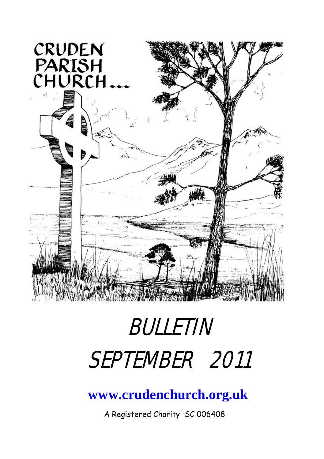

# BULLETIN SEPTEMBER 2011

**[www.crudenchurch.org.uk](http://www.crudenchurch.org.uk/)**

A Registered Charity SC 006408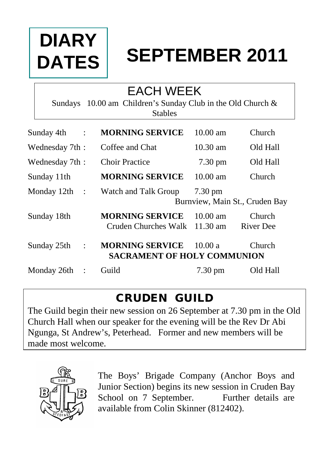# **DIARY DATES**

# **SEPTEMBER 2011**

### EACH WEEK

Sundays 10.00 am Children's Sunday Club in the Old Church & Stables

| Sunday 4th     | $\sim$ :       | <b>MORNING SERVICE</b>                                       | $10.00$ am                               | Church                         |
|----------------|----------------|--------------------------------------------------------------|------------------------------------------|--------------------------------|
| Wednesday 7th: |                | Coffee and Chat                                              | $10.30 \text{ am}$                       | Old Hall                       |
| Wednesday 7th: |                | <b>Choir Practice</b>                                        | $7.30 \text{ pm}$                        | Old Hall                       |
| Sunday 11th    |                | <b>MORNING SERVICE</b>                                       | $10.00 \text{ am}$                       | Church                         |
| Monday 12th    | $\sim$ 1       | Watch and Talk Group                                         | $7.30 \text{ pm}$                        | Burnview, Main St., Cruden Bay |
| Sunday 18th    |                | <b>MORNING SERVICE</b><br>Cruden Churches Walk               | $10.00 \text{ am}$<br>$11.30 \text{ am}$ | Church<br>River Dee            |
| Sunday 25th    | $\ddot{\cdot}$ | <b>MORNING SERVICE</b><br><b>SACRAMENT OF HOLY COMMUNION</b> | 10.00a                                   | Church                         |
| Monday 26th    | $\cdot$ :      | Guild                                                        | $7.30 \text{ pm}$                        | Old Hall                       |

### CRUDEN GUILD

The Guild begin their new session on 26 September at 7.30 pm in the Old Church Hall when our speaker for the evening will be the Rev Dr Abi Ngunga, St Andrew's, Peterhead. Former and new members will be made most welcome.



The Boys' Brigade Company (Anchor Boys and Junior Section) begins its new session in Cruden Bay School on 7 September. Further details are available from Colin Skinner (812402).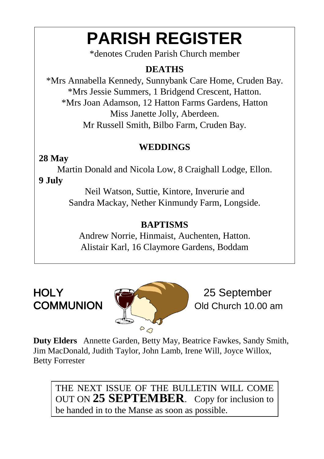## **PARISH REGISTER**

\*denotes Cruden Parish Church member

#### **DEATHS**

\*Mrs Annabella Kennedy, Sunnybank Care Home, Cruden Bay. \*Mrs Jessie Summers, 1 Bridgend Crescent, Hatton. \*Mrs Joan Adamson, 12 Hatton Farms Gardens, Hatton Miss Janette Jolly, Aberdeen. Mr Russell Smith, Bilbo Farm, Cruden Bay.

#### **WEDDINGS**

#### **28 May**

Martin Donald and Nicola Low, 8 Craighall Lodge, Ellon. **9 July**

> Neil Watson, Suttie, Kintore, Inverurie and Sandra Mackay, Nether Kinmundy Farm, Longside.

#### **BAPTISMS**

Andrew Norrie, Hinmaist, Auchenten, Hatton. Alistair Karl, 16 Claymore Gardens, Boddam



HOLY 25 September **COMMUNION COMMUNION** 

**Duty Elders** Annette Garden, Betty May, Beatrice Fawkes, Sandy Smith, Jim MacDonald, Judith Taylor, John Lamb, Irene Will, Joyce Willox, Betty Forrester

THE NEXT ISSUE OF THE BULLETIN WILL COME OUT ON **25 SEPTEMBER**. Copy for inclusion to be handed in to the Manse as soon as possible.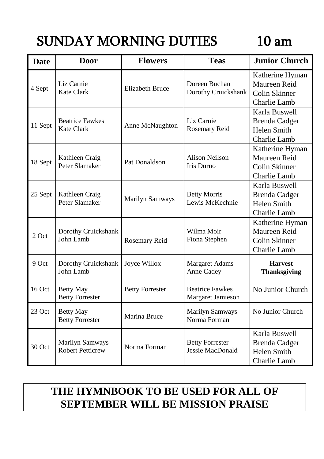### SUNDAY MORNING DUTIES 10 am

| <b>Date</b> | <b>Door</b>                                 | <b>Flowers</b>         | <b>Teas</b>                                 | <b>Junior Church</b>                                                        |
|-------------|---------------------------------------------|------------------------|---------------------------------------------|-----------------------------------------------------------------------------|
| 4 Sept      | Liz Carnie<br>Kate Clark                    | <b>Elizabeth Bruce</b> | Doreen Buchan<br>Dorothy Cruickshank        | Katherine Hyman<br>Maureen Reid<br>Colin Skinner<br>Charlie Lamb            |
| 11 Sept     | <b>Beatrice Fawkes</b><br><b>Kate Clark</b> | Anne McNaughton        | Liz Carnie<br>Rosemary Reid                 | Karla Buswell<br><b>Brenda Cadger</b><br><b>Helen Smith</b><br>Charlie Lamb |
| 18 Sept     | Kathleen Craig<br>Peter Slamaker            | Pat Donaldson          | <b>Alison Neilson</b><br>Iris Durno         | Katherine Hyman<br>Maureen Reid<br>Colin Skinner<br>Charlie Lamb            |
| 25 Sept     | Kathleen Craig<br>Peter Slamaker            | Marilyn Samways        | <b>Betty Morris</b><br>Lewis McKechnie      | Karla Buswell<br><b>Brenda Cadger</b><br><b>Helen Smith</b><br>Charlie Lamb |
| 2 Oct       | Dorothy Cruickshank<br>John Lamb            | Rosemary Reid          | Wilma Moir<br>Fiona Stephen                 | Katherine Hyman<br>Maureen Reid<br>Colin Skinner<br>Charlie Lamb            |
| 9 Oct       | Dorothy Cruickshank<br>John Lamb            | Joyce Willox           | Margaret Adams<br>Anne Cadey                | <b>Harvest</b><br><b>Thanksgiving</b>                                       |
| 16 Oct      | <b>Betty May</b><br><b>Betty Forrester</b>  | <b>Betty Forrester</b> | <b>Beatrice Fawkes</b><br>Margaret Jamieson | No Junior Church                                                            |
| $23$ Oct    | <b>Betty May</b><br><b>Betty Forrester</b>  | Marina Bruce           | <b>Marilyn Samways</b><br>Norma Forman      | No Junior Church                                                            |
| 30 Oct      | Marilyn Samways<br><b>Robert Petticrew</b>  | Norma Forman           | <b>Betty Forrester</b><br>Jessie MacDonald  | Karla Buswell<br><b>Brenda Cadger</b><br><b>Helen Smith</b><br>Charlie Lamb |

#### **THE HYMNBOOK TO BE USED FOR ALL OF SEPTEMBER WILL BE MISSION PRAISE**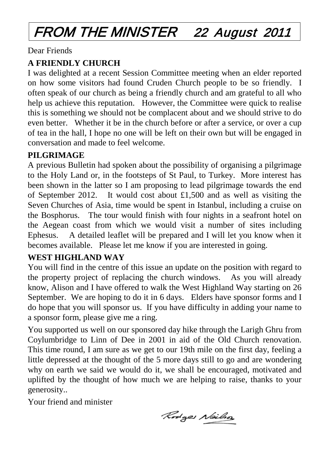### FROM THE MINISTER 22 August 2011

Dear Friends

#### **A FRIENDLY CHURCH**

I was delighted at a recent Session Committee meeting when an elder reported on how some visitors had found Cruden Church people to be so friendly. I often speak of our church as being a friendly church and am grateful to all who help us achieve this reputation. However, the Committee were quick to realise this is something we should not be complacent about and we should strive to do even better. Whether it be in the church before or after a service, or over a cup of tea in the hall, I hope no one will be left on their own but will be engaged in conversation and made to feel welcome.

#### **PILGRIMAGE**

A previous Bulletin had spoken about the possibility of organising a pilgrimage to the Holy Land or, in the footsteps of St Paul, to Turkey. More interest has been shown in the latter so I am proposing to lead pilgrimage towards the end of September 2012. It would cost about £1,500 and as well as visiting the Seven Churches of Asia, time would be spent in Istanbul, including a cruise on the Bosphorus. The tour would finish with four nights in a seafront hotel on the Aegean coast from which we would visit a number of sites including Ephesus. A detailed leaflet will be prepared and I will let you know when it becomes available. Please let me know if you are interested in going.

#### **WEST HIGHLAND WAY**

You will find in the centre of this issue an update on the position with regard to the property project of replacing the church windows. As you will already know, Alison and I have offered to walk the West Highland Way starting on 26 September. We are hoping to do it in 6 days. Elders have sponsor forms and I do hope that you will sponsor us. If you have difficulty in adding your name to a sponsor form, please give me a ring.

You supported us well on our sponsored day hike through the Larigh Ghru from Coylumbridge to Linn of Dee in 2001 in aid of the Old Church renovation. This time round, I am sure as we get to our 19th mile on the first day, feeling a little depressed at the thought of the 5 more days still to go and are wondering why on earth we said we would do it, we shall be encouraged, motivated and uplifted by the thought of how much we are helping to raise, thanks to your generosity..

Your friend and minister

Rodges Nailso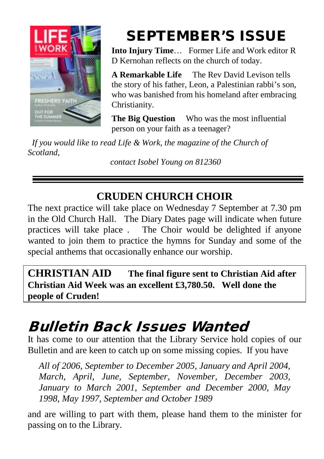

### SEPTEMBER'S ISSUE

**Into Injury Time**… Former Life and Work editor R D Kernohan reflects on the church of today.

**A Remarkable Life** The Rev David Levison tells the story of his father, Leon, a Palestinian rabbi's son, who was banished from his homeland after embracing Christianity.

**The Big Question** Who was the most influential person on your faith as a teenager?

*If you would like to read Life & Work, the magazine of the Church of Scotland,* 

*contact Isobel Young on 812360*

#### **CRUDEN CHURCH CHOIR**

The next practice will take place on Wednesday 7 September at 7.30 pm in the Old Church Hall. The Diary Dates page will indicate when future practices will take place . The Choir would be delighted if anyone wanted to join them to practice the hymns for Sunday and some of the special anthems that occasionally enhance our worship.

**CHRISTIAN AID The final figure sent to Christian Aid after Christian Aid Week was an excellent £3,780.50. Well done the people of Cruden!**

### Bulletin Back Issues Wanted

It has come to our attention that the Library Service hold copies of our Bulletin and are keen to catch up on some missing copies. If you have

*All of 2006, September to December 2005, January and April 2004, March, April, June, September, November, December 2003, January to March 2001, September and December 2000, May 1998, May 1997, September and October 1989*

and are willing to part with them, please hand them to the minister for passing on to the Library.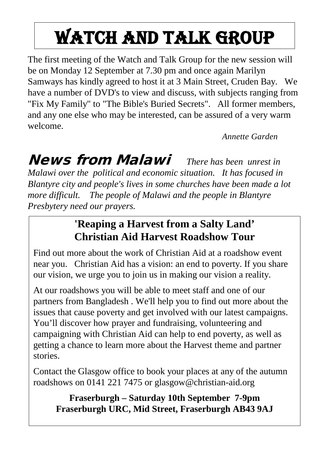# WATCH AND TALK group

The first meeting of the Watch and Talk Group for the new session will be on Monday 12 September at 7.30 pm and once again Marilyn Samways has kindly agreed to host it at 3 Main Street, Cruden Bay. We have a number of DVD's to view and discuss, with subjects ranging from "Fix My Family" to "The Bible's Buried Secrets". All former members, and any one else who may be interested, can be assured of a very warm welcome.

*Annette Garden*

News from Malawi *There has been unrest in Malawi over the political and economic situation. It has focused in Blantyre city and people's lives in some churches have been made a lot more difficult. The people of Malawi and the people in Blantyre Presbytery need our prayers.*

#### **'Reaping a Harvest from a Salty Land' Christian Aid Harvest Roadshow Tour**

Find out more about the work of Christian Aid at a roadshow event near you. Christian Aid has a vision: an end to poverty. If you share our vision, we urge you to join us in making our vision a reality.

At our roadshows you will be able to meet staff and one of our partners from Bangladesh . We'll help you to find out more about the issues that cause poverty and get involved with our latest campaigns. You'll discover how prayer and fundraising, volunteering and campaigning with Christian Aid can help to end poverty, as well as getting a chance to learn more about the Harvest theme and partner stories.

Contact the Glasgow office to book your places at any of the autumn roadshows on 0141 221 7475 or glasgow@christian-aid.org

**Fraserburgh – Saturday 10th September 7-9pm Fraserburgh URC, Mid Street, Fraserburgh AB43 9AJ**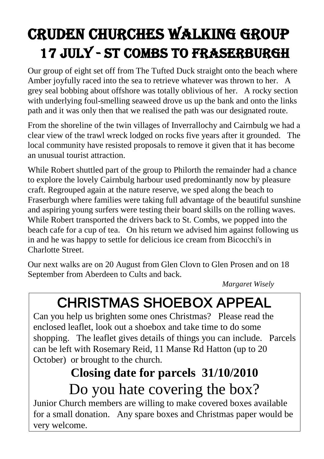### Cruden CHURCHes WALKing group 17 July - ST combs to FRASERBURGH

Our group of eight set off from The Tufted Duck straight onto the beach where Amber joyfully raced into the sea to retrieve whatever was thrown to her. A grey seal bobbing about offshore was totally oblivious of her. A rocky section with underlying foul-smelling seaweed drove us up the bank and onto the links path and it was only then that we realised the path was our designated route.

From the shoreline of the twin villages of Inverrallochy and Cairnbulg we had a clear view of the trawl wreck lodged on rocks five years after it grounded. The local community have resisted proposals to remove it given that it has become an unusual tourist attraction.

While Robert shuttled part of the group to Philorth the remainder had a chance to explore the lovely Cairnbulg harbour used predominantly now by pleasure craft. Regrouped again at the nature reserve, we sped along the beach to Fraserburgh where families were taking full advantage of the beautiful sunshine and aspiring young surfers were testing their board skills on the rolling waves. While Robert transported the drivers back to St. Combs, we popped into the beach cafe for a cup of tea. On his return we advised him against following us in and he was happy to settle for delicious ice cream from Bicocchi's in Charlotte Street.

Our next walks are on 20 August from Glen Clovn to Glen Prosen and on 18 September from Aberdeen to Cults and back.

*Margaret Wisely*

### CHRISTMAS SHOEBOX APPEAL

Can you help us brighten some ones Christmas? Please read the enclosed leaflet, look out a shoebox and take time to do some shopping. The leaflet gives details of things you can include. Parcels can be left with Rosemary Reid, 11 Manse Rd Hatton (up to 20 October) or brought to the church.

### **Closing date for parcels 31/10/2010** Do you hate covering the box?

Junior Church members are willing to make covered boxes available for a small donation. Any spare boxes and Christmas paper would be very welcome.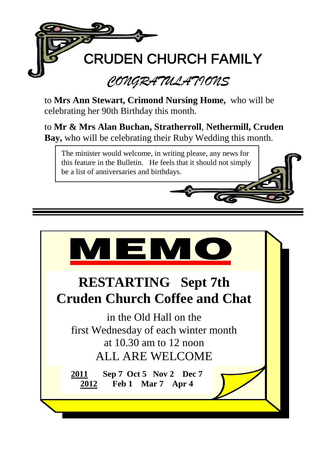

to **Mrs Ann Stewart, Crimond Nursing Home,** who will be celebrating her 90th Birthday this month.

to **Mr & Mrs Alan Buchan, Stratherroll**, **Nethermill, Cruden Bay,** who will be celebrating their Ruby Wedding this month.

The minister would welcome, in writing please, any news for this feature in the Bulletin. He feels that it should not simply be a list of anniversaries and birthdays.

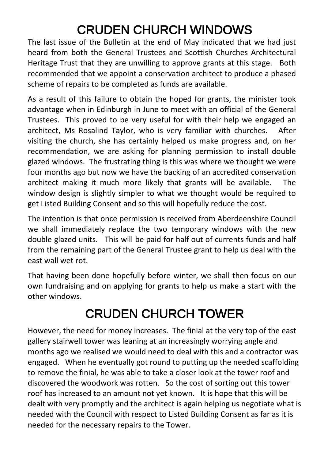### CRUDEN CHURCH WINDOWS

The last issue of the Bulletin at the end of May indicated that we had just heard from both the General Trustees and Scottish Churches Architectural Heritage Trust that they are unwilling to approve grants at this stage. Both recommended that we appoint a conservation architect to produce a phased scheme of repairs to be completed as funds are available.

As a result of this failure to obtain the hoped for grants, the minister took advantage when in Edinburgh in June to meet with an official of the General Trustees. This proved to be very useful for with their help we engaged an architect, Ms Rosalind Taylor, who is very familiar with churches. After visiting the church, she has certainly helped us make progress and, on her recommendation, we are asking for planning permission to install double glazed windows. The frustrating thing is this was where we thought we were four months ago but now we have the backing of an accredited conservation architect making it much more likely that grants will be available. The window design is slightly simpler to what we thought would be required to get Listed Building Consent and so this will hopefully reduce the cost.

The intention is that once permission is received from Aberdeenshire Council we shall immediately replace the two temporary windows with the new double glazed units. This will be paid for half out of currents funds and half from the remaining part of the General Trustee grant to help us deal with the east wall wet rot.

That having been done hopefully before winter, we shall then focus on our own fundraising and on applying for grants to help us make a start with the other windows.

### CRUDEN CHURCH TOWER

However, the need for money increases. The finial at the very top of the east gallery stairwell tower was leaning at an increasingly worrying angle and months ago we realised we would need to deal with this and a contractor was engaged. When he eventually got round to putting up the needed scaffolding to remove the finial, he was able to take a closer look at the tower roof and discovered the woodwork was rotten. So the cost of sorting out this tower roof has increased to an amount not yet known. It is hope that this will be dealt with very promptly and the architect is again helping us negotiate what is needed with the Council with respect to Listed Building Consent as far as it is needed for the necessary repairs to the Tower.